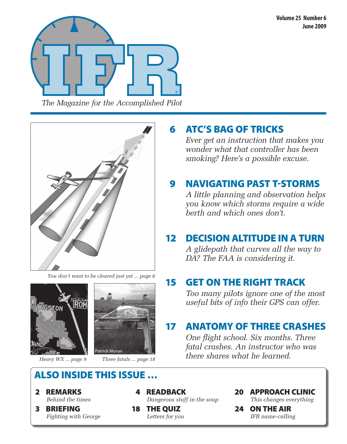



*You don't want to be cleared just yet ... page 6*





### also inside this issue …

- 2 Remarks *Behind the times*
- 3 BRIEFING *Fighting with George*

 4 Readback *Dangerous stuff in the soup*

 18 The Quiz *Letters for you*

### 6 ATC's bag of tricks

*Ever get an instruction that makes you wonder what that controller has been smoking? Here's a possible excuse.*

### 9 Navigating past t-storms

*A little planning and observation helps you know which storms require a wide berth and which ones don't.* 

### 12 DECISION ALTITUDE IN A TURN

*A glidepath that curves all the way to DA? The FAA is considering it.*

### 15 Get on the right track

*Too many pilots ignore one of the most useful bits of info their GPS can offer.*

### 17 Anatomy of three crashes

*One flight school. Six months. Three fatal crashes. An instructor who was there shares what he learned.* Heavy WX ... page 9 *Three fatals ... page 18 there shares what he learned.* 

20 Approach Clinic

*This changes everything* 

 24 On The Air *IFR name-calling*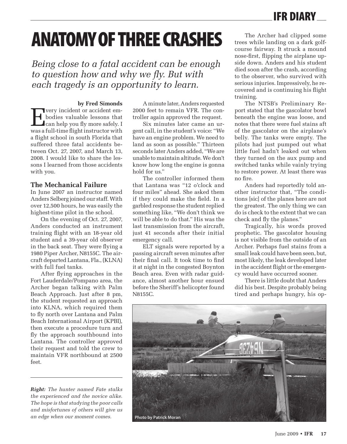### IFR Diary

# **ANATOMY OF THREE CRASHES**

*Being close to a fatal accident can be enough to question how and why we fly. But with each tragedy is an opportunity to learn.*

#### **by Fred Simonds**

The very incident or accident em-<br>bodies valuable lessons that<br>can help you fly more safely. I bodies valuable lessons that can help you fly more safely. I was a full-time flight instructor with a flight school in south Florida that suffered three fatal accidents between Oct. 27, 2007, and March 13, 2008. I would like to share the lessons I learned from those accidents with you.

#### **The Mechanical Failure**

In June 2007 an instructor named Anders Selberg joined our staff. With over 12,500 hours, he was easily the highest-time pilot in the school.

On the evening of Oct. 27, 2007, Anders conducted an instrument training flight with an 18-year old student and a 39-year old observer in the back seat. They were flying a 1980 Piper Archer, N8155C. The aircraft departed Lantana, Fla., (KLNA) with full fuel tanks.

After flying approaches in the Fort Lauderdale/Pompano area, the Archer began talking with Palm Beach Approach. Just after 8 pm, the student requested an approach into KLNA, which required them to fly north over Lantana and Palm Beach International Airport (KPBI), then execute a procedure turn and fly the approach southbound into Lantana. The controller approved their request and told the crew to maintain VFR northbound at 2500 feet.

*Right: The hunter named Fate stalks the experienced and the novice alike. The hope is that studying the poor calls and misfortunes of others will give us*  an edge when our moment comes. **Photo by Patrick Moran** 

A minute later, Anders requested 2000 feet to remain VFR. The controller again approved the request.

Six minutes later came an urgent call, in the student's voice: "We have an engine problem. We need to land as soon as possible." Thirteen seconds later Anders added, "We are unable to maintain altitude. We don't know how long the engine is gonna hold for us."

The controller informed them that Lantana was "12 o'clock and four miles" ahead. She asked them if they could make the field. In a garbled response the student replied something like, "We don't think we will be able to do that." His was the last transmission from the aircraft, just 41 seconds after their initial emergency call.

ELT signals were reported by a passing aircraft seven minutes after their final call. It took time to find it at night in the congested Boynton Beach area. Even with radar guidance, almost another hour ensued before the Sheriff's helicopter found N8155C.

The Archer had clipped some trees while landing on a dark golfcourse fairway. It struck a mound nose-first, flipping the airplane upside down. Anders and his student died soon after the crash, according to the observer, who survived with serious injuries. Impressively, he recovered and is continuing his flight training.

The NTSB's Preliminary Report stated that the gascolator bowl beneath the engine was loose, and notes that there were fuel stains aft of the gascolator on the airplane's belly. The tanks were empty. The pilots had just pumped out what little fuel hadn't leaked out when they turned on the aux pump and switched tanks while vainly trying to restore power. At least there was no fire.

Anders had reportedly told another instructor that, "The conditions [sic] of the planes here are not the greatest. The only thing we can do is check to the extent that we can check and fly the planes."

Tragically, his words proved prophetic. The gascolator housing is not visible from the outside of an Archer. Perhaps fuel stains from a small leak could have been seen, but, most likely, the leak developed later in the accident flight or the emergency would have occurred sooner.

There is little doubt that Anders did his best. Despite probably being tired and perhaps hungry, his op-

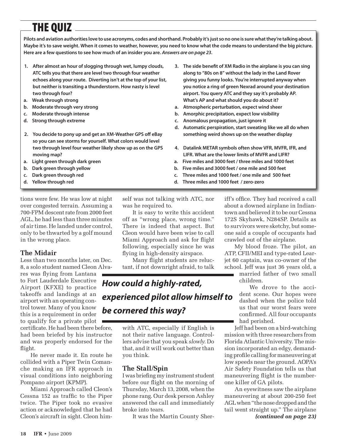## The Quiz

**Pilots and aviation authorities love to use acronyms, codes and shorthand. Probably it's just so no one is sure what they're talking about. Maybe it's to save weight. When it comes to weather, however, you need to know what the code means to understand the big picture. Here are a few questions to see how much of an insider you are.** *Answers are on page 23***.**

- **1. After almost an hour of slogging through wet, lumpy clouds, ATC tells you that there are level two through four weather echoes along your route. Diverting isn't at the top of your list, but neither is transiting a thunderstorm. How nasty is level two through four?**
- **a. Weak through strong**
- **b. Moderate through very strong**
- **c. Moderate through intense**
- **d. Strong through extreme**
- **2. You decide to pony up and get an XM-Weather GPS off eBay so you can see storms for yourself. What colors would level two through level four weather likely show up as on the GPS moving map?**
- **a. Light green through dark green**
- **b. Dark green through yellow**
- **c. Dark green through red**
- **d. Yellow through red**

tions were few. He was low at night over congested terrain. Assuming a 700-FPM descent rate from 2000 feet AGL, he had less than three minutes of air time. He landed under control, only to be thwarted by a golf mound in the wrong place.

#### **The Midair**

Less than two months later, on Dec. 8, a solo student named Cleon Alva-

res was flying from Lantana to Fort Lauderdale Executive Airport (KFXE) to practice takeoffs and landings at an airport with an operating control tower. Many of you know this is a requirement in order to qualify for a private pilot

certificate. He had been there before, had been briefed by his instructor and was properly endorsed for the flight.

He never made it. En route he collided with a Piper Twin Comanche making an IFR approach in visual conditions into neighboring Pompano airport (KPMP).

Miami Approach called Cleon's Cessna 152 as traffic to the Piper twice. The Piper took no evasive action or acknowledged that he had Cleon's aircraft in sight. Cleon himself was not talking with ATC, nor was he required to.

It is easy to write this accident off as "wrong place, wrong time." There is indeed that aspect. But Cleon would have been wise to call Miami Approach and ask for flight following, especially since he was flying in high-density airspace.

Many flight students are reluctant, if not downright afraid, to talk

### *How could a highly-rated, experienced pilot allow himself to be cornered this way?*

with ATC, especially if English is not their native language. Controllers advise that you speak *slowly*. Do that, and it will work out better than you think.

#### **The Stall/Spin**

I was briefing my instrument student before our flight on the morning of Thursday, March 13, 2008, when the phone rang. Our desk person Ashley answered the call and immediately broke into tears.

It was the Martin County Sher-

- **3. The side benefit of XM Radio in the airplane is you can sing along to "80s on 8" without the lady in the Land Rover giving you funny looks. You're interrupted anyway when you notice a ring of green Nexrad around your destination airport. You query ATC and they say it's probably AP. What's AP and what should you do about it?**
- **a. Atmospheric perturbation, expect wind sheer**
- **b. Amorphic precipitation, expect low visibility**
- **c. Anomalous propagation, just ignore it**
- **d. Automatic perspiration, start sweating like we all do when something weird shows up on the weather display**
- **4. Datalink METAR symbols often show VFR, MVFR, IFR, and LIFR. What are the lower limits of MVFR and LIFR?**
- **a. Five miles and 3000 feet / three miles and 1000 feet**
- **b. Five miles and 3000 feet / one mile and 500 feet**
- **c. Three miles and 1000 feet / one mile and 500 feet**
- **d. Three miles and 1000 feet / zero-zero**

iff's office. They had received a call about a downed airplane in Indiantown and believed it to be our Cessna 172S Skyhawk, N284SP. Details as to survivors were sketchy, but someone said a couple of occupants had crawled out of the airplane.

My blood froze. The pilot, an ATP, CFII/MEI and type-rated Learjet 60 captain, was co-owner of the school. Jeff was just 36 years old, a

married father of two small children.

We drove to the accident scene. Our hopes were dashed when the police told us that our worst fears were confirmed. All four occupants had perished.

Jeff had been on a bird-watching mission with three researchers from Florida Atlantic University. The mission incorporated an edgy, demanding profile calling for maneuvering at low speeds near the ground. AOPA's Air Safety Foundation tells us that maneuvering flight is the numberone killer of GA pilots.

An eyewitness saw the airplane maneuvering at about 200-250 feet AGL when "the nose dropped and the tail went straight up." The airplane *(continued on page 23)*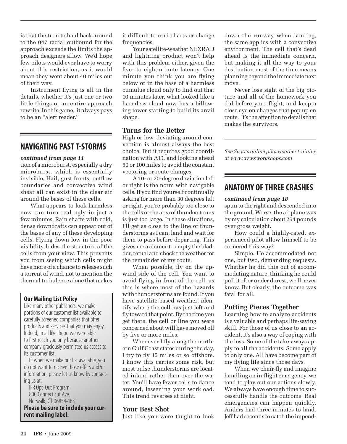is that the turn to haul back around to the 047 radial outbound for the approach exceeds the limits the approach designers allow. We'd hope few pilots would ever have to worry about this restriction, as it would mean they went about 40 miles out of their way.

Instrument flying is all in the details, whether it's just one or two little things or an entire approach rewrite. In this game, it always pays to be an "alert reader."

### **Navigating past T-Storms**

#### *continued from page 11*

tion of a microburst, especially a dry microburst, which is essentially invisible. Hail, gust fronts, outflow boundaries and convective wind shear all can exist in the clear air around the bases of these cells.

What appears to look harmless now can turn real ugly in just a few minutes. Rain shafts with cold, dense downdrafts can appear out of the bases of any of these developing cells. Flying down low in the poor visibility hides the structure of the cells from your view. This prevents you from seeing which cells might have more of a chance to release such a torrent of wind, not to mention the thermal turbulence alone that makes

#### **Our Mailing List Policy**

Like many other publishers, we make portions of our customer list available to carefully screened companies that offer products and services that you may enjoy. Indeed, in all likelihood we were able to first reach you only because another company graciously permitted us access to its customer list.

If, when we make our list available, you do not want to receive those offers and/or information, please let us know by contact- ing us at:

IFR Opt-Out Program 800 Connecticut Ave. Norwalk, CT 06854-1631 **Please be sure to include your current mailing label.**

it difficult to read charts or change frequencies.

Your satellite-weather NEXRAD and lightning product won't help with this problem either, given the five- to eight-minute latency. One minute you think you are flying below or in the base of a harmless cumulus cloud only to find out that 10 minutes later, what looked like a harmless cloud now has a billowing tower starting to build its anvil shape.

#### **Turns for the Better**

High or low, deviating around convection is almost always the best choice. But it requires good coordination with ATC and looking ahead 50 or 100 miles to avoid the constant vectoring or route changes.

A 10- or 20-degree deviation left or right is the norm with navigable cells. If you find yourself continually asking for more than 30 degrees left or right, you're probably too close to the cells or the area of thunderstorms is just too large. In these situations, I'll get as close to the line of thunderstorms as I can, land and wait for them to pass before departing. This gives me a chance to empty the bladder, refuel and check the weather for the remainder of my route.

When possible, fly on the upwind side of the cell. You want to avoid flying in front of the cell, as this is where most of the hazards with thunderstorms are found. If you have satellite-based weather, identify where the cell has just left and fly toward that point. By the time you get there, the cell or line you were concerned about will have moved off by five or more miles.

Whenever I fly along the northern Gulf Coast states during the day, I try to fly 15 miles or so offshore. I know this carries some risk, but most pulse thunderstorms are located inland rather than over the water. You'll have fewer cells to dance around, lessening your workload. This trend reverses at night.

#### **Your Best Shot**

Just like you were taught to look

down the runway when landing, the same applies with a convective environment. The cell that's dead ahead is the immediate concern, but making it all the way to your destination most of the time means planning beyond the immediate next move.

Never lose sight of the big picture and all of the homework you did before your flight, and keep a close eye on changes that pop up en route. It's the attention to details that makes the survivors.

*See Scott's online pilot weather training at www.avwxworkshops.com*

### **anatomy of three crashes**

#### *continued from page 18*

spun to the right and descended into the ground. Worse, the airplane was by my calculation about 264 pounds over gross weight.

How could a highly-rated, experienced pilot allow himself to be cornered this way?

Simple. He accommodated not one, but two, demanding requests. Whether he did this out of accommodating nature, thinking he could pull it of, or under duress, we'll never know. But clearly, the outcome was fatal for all.

### **Putting Pieces Together**

Learning how to analyze accidents is a valuable and perhaps life-saving skill. For those of us close to an accident, it's also a way of coping with the loss. Some of the take-aways apply to all the accidents. Some apply to only one. All have become part of my flying life since those days.

When we chair-fly and imagine handling an in-flight emergency, we tend to play out our actions slowly. We always have enough time to successfully handle the outcome. Real emergencies can happen quickly. Anders had three minutes to land. Jeff had seconds to catch the impend-